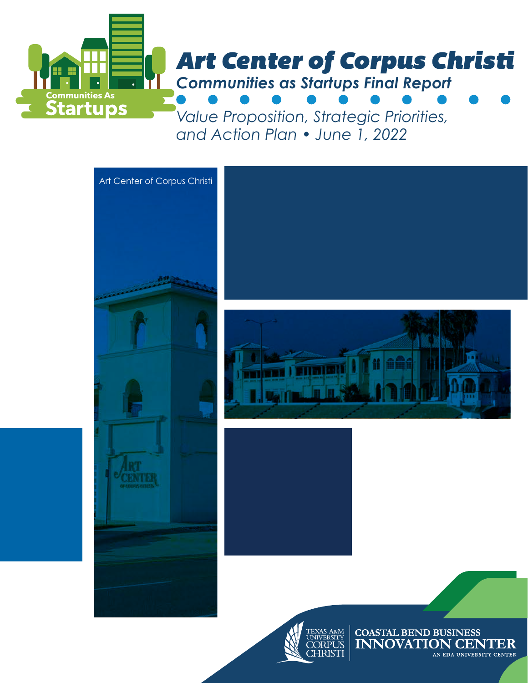

*and Action Plan • June 1, 2022*



AN EDA UNIVERSITY CENTER